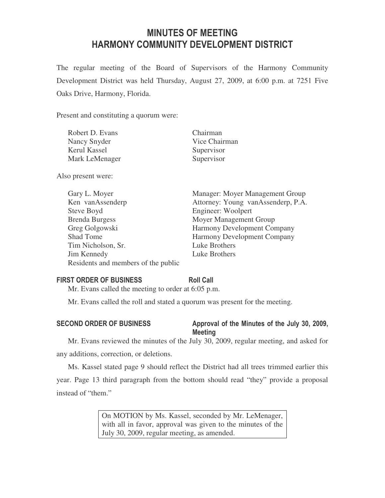# MINUTES OF MEETING HARMONY COMMUNITY DEVELOPMENT DISTRICT

The regular meeting of the Board of Supervisors of the Harmony Community Development District was held Thursday, August 27, 2009, at 6:00 p.m. at 7251 Five Oaks Drive, Harmony, Florida.

Present and constituting a quorum were:

| Robert D. Evans | Chairman      |
|-----------------|---------------|
| Nancy Snyder    | Vice Chairman |
| Kerul Kassel    | Supervisor    |
| Mark LeMenager  | Supervisor    |

Also present were:

| Gary L. Moyer                       | Manager: Moyer Management Group    |
|-------------------------------------|------------------------------------|
| Ken vanAssenderp                    | Attorney: Young vanAssenderp, P.A. |
| Steve Boyd                          | Engineer: Woolpert                 |
| <b>Brenda Burgess</b>               | Moyer Management Group             |
| Greg Golgowski                      | Harmony Development Company        |
| Shad Tome                           | Harmony Development Company        |
| Tim Nicholson, Sr.                  | Luke Brothers                      |
| Jim Kennedy                         | Luke Brothers                      |
| Residents and members of the public |                                    |

# FIRST ORDER OF BUSINESS Roll Call

Mr. Evans called the meeting to order at 6:05 p.m.

Mr. Evans called the roll and stated a quorum was present for the meeting.

### SECOND ORDER OF BUSINESS Approval of the Minutes of the July 30, 2009, Meeting

Mr. Evans reviewed the minutes of the July 30, 2009, regular meeting, and asked for any additions, correction, or deletions.

Ms. Kassel stated page 9 should reflect the District had all trees trimmed earlier this year. Page 13 third paragraph from the bottom should read "they" provide a proposal instead of "them."

> On MOTION by Ms. Kassel, seconded by Mr. LeMenager, with all in favor, approval was given to the minutes of the July 30, 2009, regular meeting, as amended.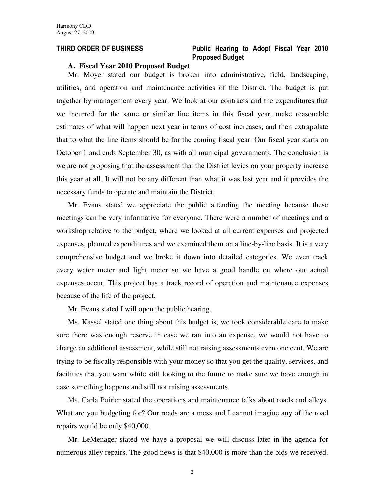# THIRD ORDER OF BUSINESS Public Hearing to Adopt Fiscal Year 2010 Proposed Budget

### **A. Fiscal Year 2010 Proposed Budget**

Mr. Moyer stated our budget is broken into administrative, field, landscaping, utilities, and operation and maintenance activities of the District. The budget is put together by management every year. We look at our contracts and the expenditures that we incurred for the same or similar line items in this fiscal year, make reasonable estimates of what will happen next year in terms of cost increases, and then extrapolate that to what the line items should be for the coming fiscal year. Our fiscal year starts on October 1 and ends September 30, as with all municipal governments. The conclusion is we are not proposing that the assessment that the District levies on your property increase this year at all. It will not be any different than what it was last year and it provides the necessary funds to operate and maintain the District.

Mr. Evans stated we appreciate the public attending the meeting because these meetings can be very informative for everyone. There were a number of meetings and a workshop relative to the budget, where we looked at all current expenses and projected expenses, planned expenditures and we examined them on a line-by-line basis. It is a very comprehensive budget and we broke it down into detailed categories. We even track every water meter and light meter so we have a good handle on where our actual expenses occur. This project has a track record of operation and maintenance expenses because of the life of the project.

Mr. Evans stated I will open the public hearing.

Ms. Kassel stated one thing about this budget is, we took considerable care to make sure there was enough reserve in case we ran into an expense, we would not have to charge an additional assessment, while still not raising assessments even one cent. We are trying to be fiscally responsible with your money so that you get the quality, services, and facilities that you want while still looking to the future to make sure we have enough in case something happens and still not raising assessments.

Ms. Carla Poirier stated the operations and maintenance talks about roads and alleys. What are you budgeting for? Our roads are a mess and I cannot imagine any of the road repairs would be only \$40,000.

Mr. LeMenager stated we have a proposal we will discuss later in the agenda for numerous alley repairs. The good news is that \$40,000 is more than the bids we received.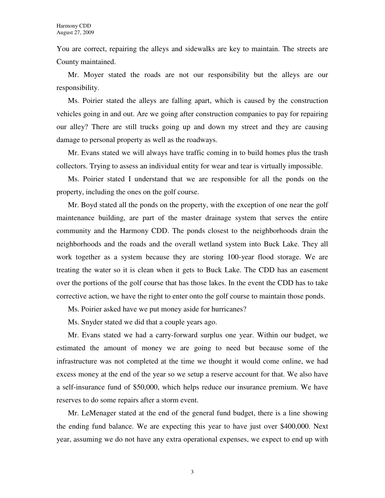You are correct, repairing the alleys and sidewalks are key to maintain. The streets are County maintained.

Mr. Moyer stated the roads are not our responsibility but the alleys are our responsibility.

Ms. Poirier stated the alleys are falling apart, which is caused by the construction vehicles going in and out. Are we going after construction companies to pay for repairing our alley? There are still trucks going up and down my street and they are causing damage to personal property as well as the roadways.

Mr. Evans stated we will always have traffic coming in to build homes plus the trash collectors. Trying to assess an individual entity for wear and tear is virtually impossible.

Ms. Poirier stated I understand that we are responsible for all the ponds on the property, including the ones on the golf course.

Mr. Boyd stated all the ponds on the property, with the exception of one near the golf maintenance building, are part of the master drainage system that serves the entire community and the Harmony CDD. The ponds closest to the neighborhoods drain the neighborhoods and the roads and the overall wetland system into Buck Lake. They all work together as a system because they are storing 100-year flood storage. We are treating the water so it is clean when it gets to Buck Lake. The CDD has an easement over the portions of the golf course that has those lakes. In the event the CDD has to take corrective action, we have the right to enter onto the golf course to maintain those ponds.

Ms. Poirier asked have we put money aside for hurricanes?

Ms. Snyder stated we did that a couple years ago.

Mr. Evans stated we had a carry-forward surplus one year. Within our budget, we estimated the amount of money we are going to need but because some of the infrastructure was not completed at the time we thought it would come online, we had excess money at the end of the year so we setup a reserve account for that. We also have a self-insurance fund of \$50,000, which helps reduce our insurance premium. We have reserves to do some repairs after a storm event.

Mr. LeMenager stated at the end of the general fund budget, there is a line showing the ending fund balance. We are expecting this year to have just over \$400,000. Next year, assuming we do not have any extra operational expenses, we expect to end up with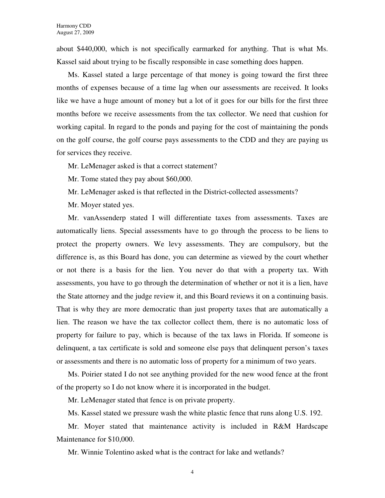about \$440,000, which is not specifically earmarked for anything. That is what Ms. Kassel said about trying to be fiscally responsible in case something does happen.

Ms. Kassel stated a large percentage of that money is going toward the first three months of expenses because of a time lag when our assessments are received. It looks like we have a huge amount of money but a lot of it goes for our bills for the first three months before we receive assessments from the tax collector. We need that cushion for working capital. In regard to the ponds and paying for the cost of maintaining the ponds on the golf course, the golf course pays assessments to the CDD and they are paying us for services they receive.

Mr. LeMenager asked is that a correct statement?

Mr. Tome stated they pay about \$60,000.

Mr. LeMenager asked is that reflected in the District-collected assessments?

Mr. Moyer stated yes.

Mr. vanAssenderp stated I will differentiate taxes from assessments. Taxes are automatically liens. Special assessments have to go through the process to be liens to protect the property owners. We levy assessments. They are compulsory, but the difference is, as this Board has done, you can determine as viewed by the court whether or not there is a basis for the lien. You never do that with a property tax. With assessments, you have to go through the determination of whether or not it is a lien, have the State attorney and the judge review it, and this Board reviews it on a continuing basis. That is why they are more democratic than just property taxes that are automatically a lien. The reason we have the tax collector collect them, there is no automatic loss of property for failure to pay, which is because of the tax laws in Florida. If someone is delinquent, a tax certificate is sold and someone else pays that delinquent person's taxes or assessments and there is no automatic loss of property for a minimum of two years.

Ms. Poirier stated I do not see anything provided for the new wood fence at the front of the property so I do not know where it is incorporated in the budget.

Mr. LeMenager stated that fence is on private property.

Ms. Kassel stated we pressure wash the white plastic fence that runs along U.S. 192.

Mr. Moyer stated that maintenance activity is included in R&M Hardscape Maintenance for \$10,000.

Mr. Winnie Tolentino asked what is the contract for lake and wetlands?

4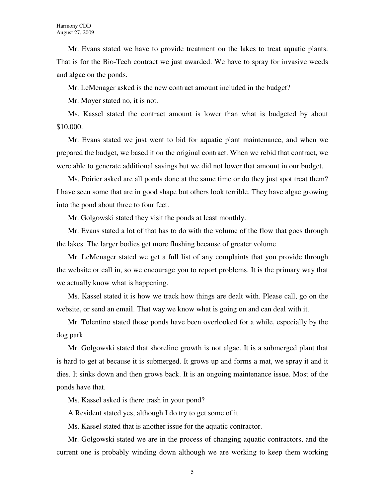Mr. Evans stated we have to provide treatment on the lakes to treat aquatic plants. That is for the Bio-Tech contract we just awarded. We have to spray for invasive weeds and algae on the ponds.

Mr. LeMenager asked is the new contract amount included in the budget?

Mr. Moyer stated no, it is not.

Ms. Kassel stated the contract amount is lower than what is budgeted by about \$10,000.

Mr. Evans stated we just went to bid for aquatic plant maintenance, and when we prepared the budget, we based it on the original contract. When we rebid that contract, we were able to generate additional savings but we did not lower that amount in our budget.

Ms. Poirier asked are all ponds done at the same time or do they just spot treat them? I have seen some that are in good shape but others look terrible. They have algae growing into the pond about three to four feet.

Mr. Golgowski stated they visit the ponds at least monthly.

Mr. Evans stated a lot of that has to do with the volume of the flow that goes through the lakes. The larger bodies get more flushing because of greater volume.

Mr. LeMenager stated we get a full list of any complaints that you provide through the website or call in, so we encourage you to report problems. It is the primary way that we actually know what is happening.

Ms. Kassel stated it is how we track how things are dealt with. Please call, go on the website, or send an email. That way we know what is going on and can deal with it.

Mr. Tolentino stated those ponds have been overlooked for a while, especially by the dog park.

Mr. Golgowski stated that shoreline growth is not algae. It is a submerged plant that is hard to get at because it is submerged. It grows up and forms a mat, we spray it and it dies. It sinks down and then grows back. It is an ongoing maintenance issue. Most of the ponds have that.

Ms. Kassel asked is there trash in your pond?

A Resident stated yes, although I do try to get some of it.

Ms. Kassel stated that is another issue for the aquatic contractor.

Mr. Golgowski stated we are in the process of changing aquatic contractors, and the current one is probably winding down although we are working to keep them working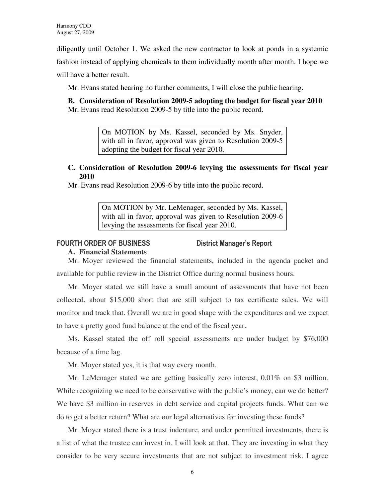diligently until October 1. We asked the new contractor to look at ponds in a systemic

fashion instead of applying chemicals to them individually month after month. I hope we

will have a better result.

Mr. Evans stated hearing no further comments, I will close the public hearing.

**B. Consideration of Resolution 2009-5 adopting the budget for fiscal year 2010**  Mr. Evans read Resolution 2009-5 by title into the public record.

> On MOTION by Ms. Kassel, seconded by Ms. Snyder, with all in favor, approval was given to Resolution 2009-5 adopting the budget for fiscal year 2010.

# **C. Consideration of Resolution 2009-6 levying the assessments for fiscal year 2010**

Mr. Evans read Resolution 2009-6 by title into the public record.

On MOTION by Mr. LeMenager, seconded by Ms. Kassel, with all in favor, approval was given to Resolution 2009-6 levying the assessments for fiscal year 2010.

# FOURTH ORDER OF BUSINESS District Manager's Report

# **A. Financial Statements**

Mr. Moyer reviewed the financial statements, included in the agenda packet and available for public review in the District Office during normal business hours.

Mr. Moyer stated we still have a small amount of assessments that have not been collected, about \$15,000 short that are still subject to tax certificate sales. We will monitor and track that. Overall we are in good shape with the expenditures and we expect to have a pretty good fund balance at the end of the fiscal year.

Ms. Kassel stated the off roll special assessments are under budget by \$76,000 because of a time lag.

Mr. Moyer stated yes, it is that way every month.

Mr. LeMenager stated we are getting basically zero interest, 0.01% on \$3 million. While recognizing we need to be conservative with the public's money, can we do better? We have \$3 million in reserves in debt service and capital projects funds. What can we do to get a better return? What are our legal alternatives for investing these funds?

Mr. Moyer stated there is a trust indenture, and under permitted investments, there is a list of what the trustee can invest in. I will look at that. They are investing in what they consider to be very secure investments that are not subject to investment risk. I agree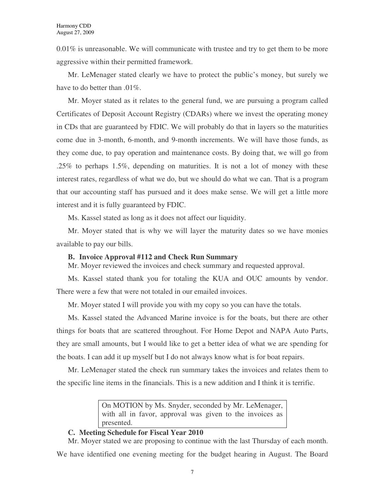0.01% is unreasonable. We will communicate with trustee and try to get them to be more aggressive within their permitted framework.

Mr. LeMenager stated clearly we have to protect the public's money, but surely we have to do better than .01\%.

Mr. Moyer stated as it relates to the general fund, we are pursuing a program called Certificates of Deposit Account Registry (CDARs) where we invest the operating money in CDs that are guaranteed by FDIC. We will probably do that in layers so the maturities come due in 3-month, 6-month, and 9-month increments. We will have those funds, as they come due, to pay operation and maintenance costs. By doing that, we will go from .25% to perhaps 1.5%, depending on maturities. It is not a lot of money with these interest rates, regardless of what we do, but we should do what we can. That is a program that our accounting staff has pursued and it does make sense. We will get a little more interest and it is fully guaranteed by FDIC.

Ms. Kassel stated as long as it does not affect our liquidity.

Mr. Moyer stated that is why we will layer the maturity dates so we have monies available to pay our bills.

#### **B. Invoice Approval #112 and Check Run Summary**

Mr. Moyer reviewed the invoices and check summary and requested approval.

Ms. Kassel stated thank you for totaling the KUA and OUC amounts by vendor. There were a few that were not totaled in our emailed invoices.

Mr. Moyer stated I will provide you with my copy so you can have the totals.

Ms. Kassel stated the Advanced Marine invoice is for the boats, but there are other things for boats that are scattered throughout. For Home Depot and NAPA Auto Parts, they are small amounts, but I would like to get a better idea of what we are spending for the boats. I can add it up myself but I do not always know what is for boat repairs.

Mr. LeMenager stated the check run summary takes the invoices and relates them to the specific line items in the financials. This is a new addition and I think it is terrific.

> On MOTION by Ms. Snyder, seconded by Mr. LeMenager, with all in favor, approval was given to the invoices as presented.

# **C. Meeting Schedule for Fiscal Year 2010**

Mr. Moyer stated we are proposing to continue with the last Thursday of each month.

We have identified one evening meeting for the budget hearing in August. The Board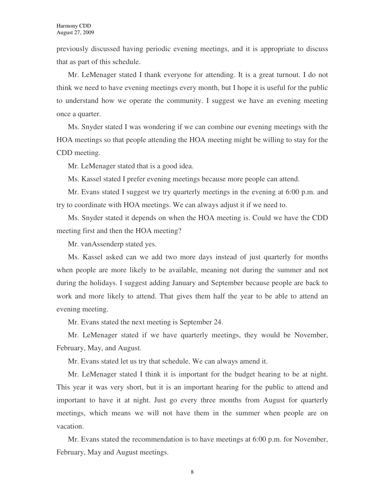previously discussed having periodic evening meetings, and it is appropriate to discuss that as part of this schedule.

Mr. LeMenager stated I thank everyone for attending. It is a great turnout. I do not think we need to have evening meetings every month, but I hope it is useful for the public to understand how we operate the community. I suggest we have an evening meeting once a quarter.

Ms. Snyder stated I was wondering if we can combine our evening meetings with the HOA meetings so that people attending the HOA meeting might be willing to stay for the CDD meeting.

Mr. LeMenager stated that is a good idea.

Ms. Kassel stated I prefer evening meetings because more people can attend.

Mr. Evans stated I suggest we try quarterly meetings in the evening at 6:00 p.m. and try to coordinate with HOA meetings. We can always adjust it if we need to.

Ms. Snyder stated it depends on when the HOA meeting is. Could we have the CDD meeting first and then the HOA meeting?

Mr. vanAssenderp stated yes.

Ms. Kassel asked can we add two more days instead of just quarterly for months when people are more likely to be available, meaning not during the summer and not during the holidays. I suggest adding January and September because people are back to work and more likely to attend. That gives them half the year to be able to attend an evening meeting.

Mr. Evans stated the next meeting is September 24.

Mr. LeMenager stated if we have quarterly meetings, they would be November, February, May, and August.

Mr. Evans stated let us try that schedule. We can always amend it.

Mr. LeMenager stated I think it is important for the budget hearing to be at night. This year it was very short, but it is an important hearing for the public to attend and important to have it at night. Just go every three months from August for quarterly meetings, which means we will not have them in the summer when people are on vacation.

Mr. Evans stated the recommendation is to have meetings at 6:00 p.m. for November, February, May and August meetings.

8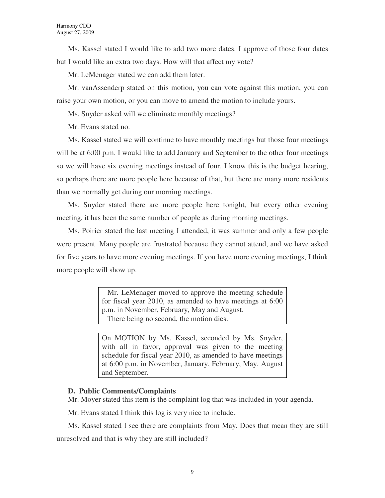Ms. Kassel stated I would like to add two more dates. I approve of those four dates but I would like an extra two days. How will that affect my vote?

Mr. LeMenager stated we can add them later.

Mr. vanAssenderp stated on this motion, you can vote against this motion, you can raise your own motion, or you can move to amend the motion to include yours.

Ms. Snyder asked will we eliminate monthly meetings?

Mr. Evans stated no.

Ms. Kassel stated we will continue to have monthly meetings but those four meetings will be at 6:00 p.m. I would like to add January and September to the other four meetings so we will have six evening meetings instead of four. I know this is the budget hearing, so perhaps there are more people here because of that, but there are many more residents than we normally get during our morning meetings.

Ms. Snyder stated there are more people here tonight, but every other evening meeting, it has been the same number of people as during morning meetings.

Ms. Poirier stated the last meeting I attended, it was summer and only a few people were present. Many people are frustrated because they cannot attend, and we have asked for five years to have more evening meetings. If you have more evening meetings, I think more people will show up.

> Mr. LeMenager moved to approve the meeting schedule for fiscal year 2010, as amended to have meetings at 6:00 p.m. in November, February, May and August. There being no second, the motion dies.

> On MOTION by Ms. Kassel, seconded by Ms. Snyder, with all in favor, approval was given to the meeting schedule for fiscal year 2010, as amended to have meetings at 6:00 p.m. in November, January, February, May, August and September.

# **D. Public Comments/Complaints**

Mr. Moyer stated this item is the complaint log that was included in your agenda.

Mr. Evans stated I think this log is very nice to include.

Ms. Kassel stated I see there are complaints from May. Does that mean they are still unresolved and that is why they are still included?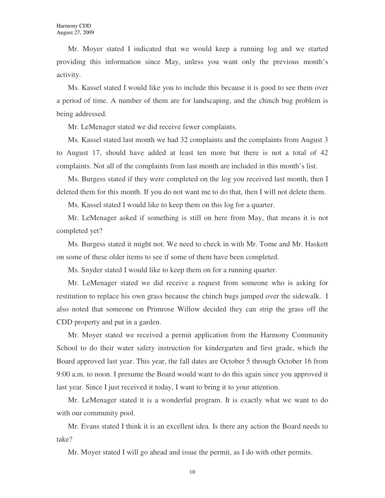Mr. Moyer stated I indicated that we would keep a running log and we started providing this information since May, unless you want only the previous month's activity.

Ms. Kassel stated I would like you to include this because it is good to see them over a period of time. A number of them are for landscaping, and the chinch bug problem is being addressed.

Mr. LeMenager stated we did receive fewer complaints.

Ms. Kassel stated last month we had 32 complaints and the complaints from August 3 to August 17, should have added at least ten more but there is not a total of 42 complaints. Not all of the complaints from last month are included in this month's list.

Ms. Burgess stated if they were completed on the log you received last month, then I deleted them for this month. If you do not want me to do that, then I will not delete them.

Ms. Kassel stated I would like to keep them on this log for a quarter.

Mr. LeMenager asked if something is still on here from May, that means it is not completed yet?

Ms. Burgess stated it might not. We need to check in with Mr. Tome and Mr. Haskett on some of these older items to see if some of them have been completed.

Ms. Snyder stated I would like to keep them on for a running quarter.

Mr. LeMenager stated we did receive a request from someone who is asking for restitution to replace his own grass because the chinch bugs jumped over the sidewalk. I also noted that someone on Primrose Willow decided they can strip the grass off the CDD property and put in a garden.

Mr. Moyer stated we received a permit application from the Harmony Community School to do their water safety instruction for kindergarten and first grade, which the Board approved last year. This year, the fall dates are October 5 through October 16 from 9:00 a.m. to noon. I presume the Board would want to do this again since you approved it last year. Since I just received it today, I want to bring it to your attention.

Mr. LeMenager stated it is a wonderful program. It is exactly what we want to do with our community pool.

Mr. Evans stated I think it is an excellent idea. Is there any action the Board needs to take?

Mr. Moyer stated I will go ahead and issue the permit, as I do with other permits.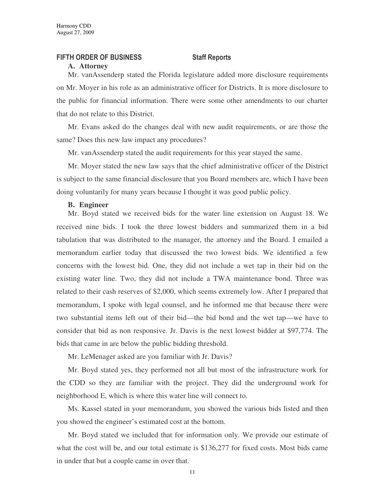### FIFTH ORDER OF BUSINESS Staff Reports

#### **A. Attorney**

Mr. vanAssenderp stated the Florida legislature added more disclosure requirements on Mr. Moyer in his role as an administrative officer for Districts. It is more disclosure to the public for financial information. There were some other amendments to our charter that do not relate to this District.

Mr. Evans asked do the changes deal with new audit requirements, or are those the same? Does this new law impact any procedures?

Mr. vanAssenderp stated the audit requirements for this year stayed the same.

Mr. Moyer stated the new law says that the chief administrative officer of the District is subject to the same financial disclosure that you Board members are, which I have been doing voluntarily for many years because I thought it was good public policy.

#### **B. Engineer**

Mr. Boyd stated we received bids for the water line extension on August 18. We received nine bids. I took the three lowest bidders and summarized them in a bid tabulation that was distributed to the manager, the attorney and the Board. I emailed a memorandum earlier today that discussed the two lowest bids. We identified a few concerns with the lowest bid. One, they did not include a wet tap in their bid on the existing water line. Two, they did not include a TWA maintenance bond. Three was related to their cash reserves of \$2,000, which seems extremely low. After I prepared that memorandum, I spoke with legal counsel, and he informed me that because there were two substantial items left out of their bid—the bid bond and the wet tap—we have to consider that bid as non responsive. Jr. Davis is the next lowest bidder at \$97,774. The bids that came in are below the public bidding threshold.

Mr. LeMenager asked are you familiar with Jr. Davis?

Mr. Boyd stated yes, they performed not all but most of the infrastructure work for the CDD so they are familiar with the project. They did the underground work for neighborhood E, which is where this water line will connect to.

Ms. Kassel stated in your memorandum, you showed the various bids listed and then you showed the engineer's estimated cost at the bottom.

Mr. Boyd stated we included that for information only. We provide our estimate of what the cost will be, and our total estimate is \$136,277 for fixed costs. Most bids came in under that but a couple came in over that.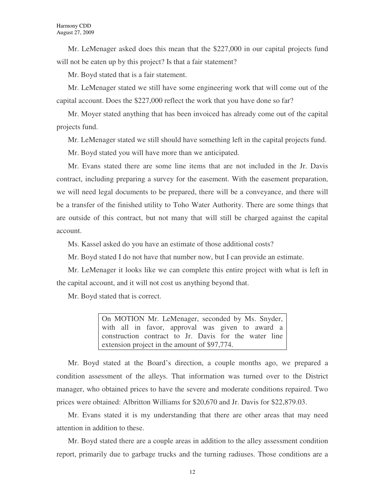Mr. LeMenager asked does this mean that the \$227,000 in our capital projects fund will not be eaten up by this project? Is that a fair statement?

Mr. Boyd stated that is a fair statement.

Mr. LeMenager stated we still have some engineering work that will come out of the capital account. Does the \$227,000 reflect the work that you have done so far?

Mr. Moyer stated anything that has been invoiced has already come out of the capital projects fund.

Mr. LeMenager stated we still should have something left in the capital projects fund.

Mr. Boyd stated you will have more than we anticipated.

Mr. Evans stated there are some line items that are not included in the Jr. Davis contract, including preparing a survey for the easement. With the easement preparation, we will need legal documents to be prepared, there will be a conveyance, and there will be a transfer of the finished utility to Toho Water Authority. There are some things that are outside of this contract, but not many that will still be charged against the capital account.

Ms. Kassel asked do you have an estimate of those additional costs?

Mr. Boyd stated I do not have that number now, but I can provide an estimate.

Mr. LeMenager it looks like we can complete this entire project with what is left in the capital account, and it will not cost us anything beyond that.

Mr. Boyd stated that is correct.

On MOTION Mr. LeMenager, seconded by Ms. Snyder, with all in favor, approval was given to award a construction contract to Jr. Davis for the water line extension project in the amount of \$97,774.

Mr. Boyd stated at the Board's direction, a couple months ago, we prepared a condition assessment of the alleys. That information was turned over to the District manager, who obtained prices to have the severe and moderate conditions repaired. Two prices were obtained: Albritton Williams for \$20,670 and Jr. Davis for \$22,879.03.

Mr. Evans stated it is my understanding that there are other areas that may need attention in addition to these.

Mr. Boyd stated there are a couple areas in addition to the alley assessment condition report, primarily due to garbage trucks and the turning radiuses. Those conditions are a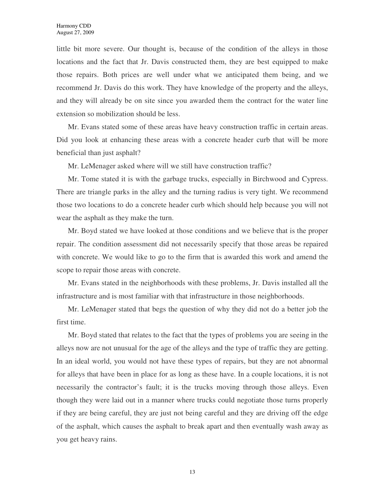little bit more severe. Our thought is, because of the condition of the alleys in those locations and the fact that Jr. Davis constructed them, they are best equipped to make those repairs. Both prices are well under what we anticipated them being, and we recommend Jr. Davis do this work. They have knowledge of the property and the alleys, and they will already be on site since you awarded them the contract for the water line extension so mobilization should be less.

Mr. Evans stated some of these areas have heavy construction traffic in certain areas. Did you look at enhancing these areas with a concrete header curb that will be more beneficial than just asphalt?

Mr. LeMenager asked where will we still have construction traffic?

Mr. Tome stated it is with the garbage trucks, especially in Birchwood and Cypress. There are triangle parks in the alley and the turning radius is very tight. We recommend those two locations to do a concrete header curb which should help because you will not wear the asphalt as they make the turn.

Mr. Boyd stated we have looked at those conditions and we believe that is the proper repair. The condition assessment did not necessarily specify that those areas be repaired with concrete. We would like to go to the firm that is awarded this work and amend the scope to repair those areas with concrete.

Mr. Evans stated in the neighborhoods with these problems, Jr. Davis installed all the infrastructure and is most familiar with that infrastructure in those neighborhoods.

Mr. LeMenager stated that begs the question of why they did not do a better job the first time.

Mr. Boyd stated that relates to the fact that the types of problems you are seeing in the alleys now are not unusual for the age of the alleys and the type of traffic they are getting. In an ideal world, you would not have these types of repairs, but they are not abnormal for alleys that have been in place for as long as these have. In a couple locations, it is not necessarily the contractor's fault; it is the trucks moving through those alleys. Even though they were laid out in a manner where trucks could negotiate those turns properly if they are being careful, they are just not being careful and they are driving off the edge of the asphalt, which causes the asphalt to break apart and then eventually wash away as you get heavy rains.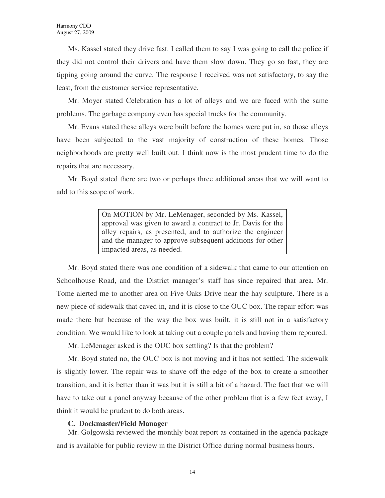Ms. Kassel stated they drive fast. I called them to say I was going to call the police if they did not control their drivers and have them slow down. They go so fast, they are tipping going around the curve. The response I received was not satisfactory, to say the least, from the customer service representative.

Mr. Moyer stated Celebration has a lot of alleys and we are faced with the same problems. The garbage company even has special trucks for the community.

Mr. Evans stated these alleys were built before the homes were put in, so those alleys have been subjected to the vast majority of construction of these homes. Those neighborhoods are pretty well built out. I think now is the most prudent time to do the repairs that are necessary.

Mr. Boyd stated there are two or perhaps three additional areas that we will want to add to this scope of work.

> On MOTION by Mr. LeMenager, seconded by Ms. Kassel, approval was given to award a contract to Jr. Davis for the alley repairs, as presented, and to authorize the engineer and the manager to approve subsequent additions for other impacted areas, as needed.

Mr. Boyd stated there was one condition of a sidewalk that came to our attention on Schoolhouse Road, and the District manager's staff has since repaired that area. Mr. Tome alerted me to another area on Five Oaks Drive near the hay sculpture. There is a new piece of sidewalk that caved in, and it is close to the OUC box. The repair effort was made there but because of the way the box was built, it is still not in a satisfactory condition. We would like to look at taking out a couple panels and having them repoured.

Mr. LeMenager asked is the OUC box settling? Is that the problem?

Mr. Boyd stated no, the OUC box is not moving and it has not settled. The sidewalk is slightly lower. The repair was to shave off the edge of the box to create a smoother transition, and it is better than it was but it is still a bit of a hazard. The fact that we will have to take out a panel anyway because of the other problem that is a few feet away, I think it would be prudent to do both areas.

#### **C. Dockmaster/Field Manager**

Mr. Golgowski reviewed the monthly boat report as contained in the agenda package and is available for public review in the District Office during normal business hours.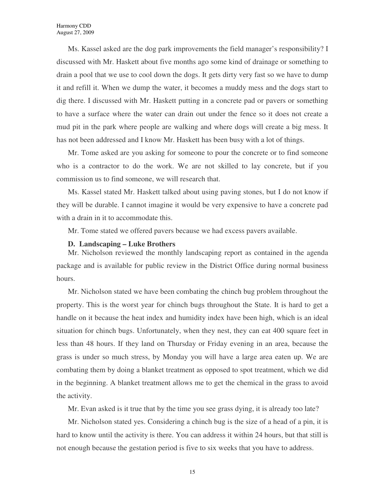Ms. Kassel asked are the dog park improvements the field manager's responsibility? I discussed with Mr. Haskett about five months ago some kind of drainage or something to drain a pool that we use to cool down the dogs. It gets dirty very fast so we have to dump it and refill it. When we dump the water, it becomes a muddy mess and the dogs start to dig there. I discussed with Mr. Haskett putting in a concrete pad or pavers or something to have a surface where the water can drain out under the fence so it does not create a mud pit in the park where people are walking and where dogs will create a big mess. It has not been addressed and I know Mr. Haskett has been busy with a lot of things.

Mr. Tome asked are you asking for someone to pour the concrete or to find someone who is a contractor to do the work. We are not skilled to lay concrete, but if you commission us to find someone, we will research that.

Ms. Kassel stated Mr. Haskett talked about using paving stones, but I do not know if they will be durable. I cannot imagine it would be very expensive to have a concrete pad with a drain in it to accommodate this.

Mr. Tome stated we offered pavers because we had excess pavers available.

#### **D. Landscaping – Luke Brothers**

Mr. Nicholson reviewed the monthly landscaping report as contained in the agenda package and is available for public review in the District Office during normal business hours.

Mr. Nicholson stated we have been combating the chinch bug problem throughout the property. This is the worst year for chinch bugs throughout the State. It is hard to get a handle on it because the heat index and humidity index have been high, which is an ideal situation for chinch bugs. Unfortunately, when they nest, they can eat 400 square feet in less than 48 hours. If they land on Thursday or Friday evening in an area, because the grass is under so much stress, by Monday you will have a large area eaten up. We are combating them by doing a blanket treatment as opposed to spot treatment, which we did in the beginning. A blanket treatment allows me to get the chemical in the grass to avoid the activity.

Mr. Evan asked is it true that by the time you see grass dying, it is already too late?

Mr. Nicholson stated yes. Considering a chinch bug is the size of a head of a pin, it is hard to know until the activity is there. You can address it within 24 hours, but that still is not enough because the gestation period is five to six weeks that you have to address.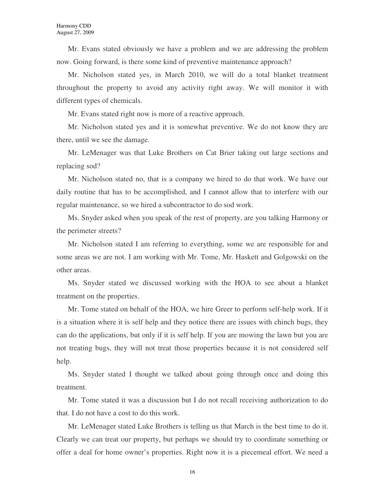Mr. Evans stated obviously we have a problem and we are addressing the problem now. Going forward, is there some kind of preventive maintenance approach?

Mr. Nicholson stated yes, in March 2010, we will do a total blanket treatment throughout the property to avoid any activity right away. We will monitor it with different types of chemicals.

Mr. Evans stated right now is more of a reactive approach.

Mr. Nicholson stated yes and it is somewhat preventive. We do not know they are there, until we see the damage.

Mr. LeMenager was that Luke Brothers on Cat Brier taking out large sections and replacing sod?

Mr. Nicholson stated no, that is a company we hired to do that work. We have our daily routine that has to be accomplished, and I cannot allow that to interfere with our regular maintenance, so we hired a subcontractor to do sod work.

Ms. Snyder asked when you speak of the rest of property, are you talking Harmony or the perimeter streets?

Mr. Nicholson stated I am referring to everything, some we are responsible for and some areas we are not. I am working with Mr. Tome, Mr. Haskett and Golgowski on the other areas.

Ms. Snyder stated we discussed working with the HOA to see about a blanket treatment on the properties.

Mr. Tome stated on behalf of the HOA, we hire Greer to perform self-help work. If it is a situation where it is self help and they notice there are issues with chinch bugs, they can do the applications, but only if it is self help. If you are mowing the lawn but you are not treating bugs, they will not treat those properties because it is not considered self help.

Ms. Snyder stated I thought we talked about going through once and doing this treatment.

Mr. Tome stated it was a discussion but I do not recall receiving authorization to do that. I do not have a cost to do this work.

Mr. LeMenager stated Luke Brothers is telling us that March is the best time to do it. Clearly we can treat our property, but perhaps we should try to coordinate something or offer a deal for home owner's properties. Right now it is a piecemeal effort. We need a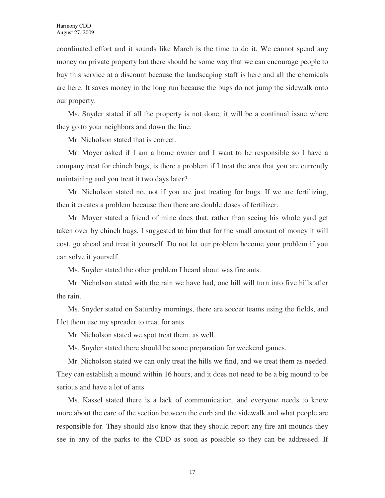coordinated effort and it sounds like March is the time to do it. We cannot spend any money on private property but there should be some way that we can encourage people to buy this service at a discount because the landscaping staff is here and all the chemicals are here. It saves money in the long run because the bugs do not jump the sidewalk onto our property.

Ms. Snyder stated if all the property is not done, it will be a continual issue where they go to your neighbors and down the line.

Mr. Nicholson stated that is correct.

Mr. Moyer asked if I am a home owner and I want to be responsible so I have a company treat for chinch bugs, is there a problem if I treat the area that you are currently maintaining and you treat it two days later?

Mr. Nicholson stated no, not if you are just treating for bugs. If we are fertilizing, then it creates a problem because then there are double doses of fertilizer.

Mr. Moyer stated a friend of mine does that, rather than seeing his whole yard get taken over by chinch bugs, I suggested to him that for the small amount of money it will cost, go ahead and treat it yourself. Do not let our problem become your problem if you can solve it yourself.

Ms. Snyder stated the other problem I heard about was fire ants.

Mr. Nicholson stated with the rain we have had, one hill will turn into five hills after the rain.

Ms. Snyder stated on Saturday mornings, there are soccer teams using the fields, and I let them use my spreader to treat for ants.

Mr. Nicholson stated we spot treat them, as well.

Ms. Snyder stated there should be some preparation for weekend games.

Mr. Nicholson stated we can only treat the hills we find, and we treat them as needed. They can establish a mound within 16 hours, and it does not need to be a big mound to be serious and have a lot of ants.

Ms. Kassel stated there is a lack of communication, and everyone needs to know more about the care of the section between the curb and the sidewalk and what people are responsible for. They should also know that they should report any fire ant mounds they see in any of the parks to the CDD as soon as possible so they can be addressed. If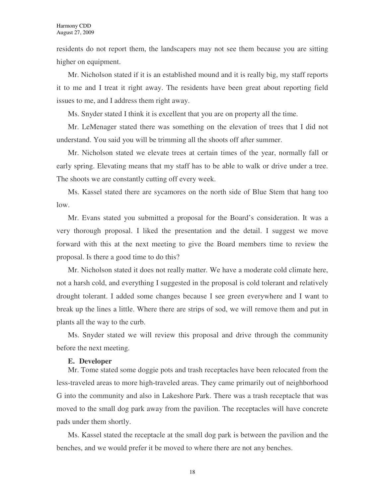residents do not report them, the landscapers may not see them because you are sitting higher on equipment.

Mr. Nicholson stated if it is an established mound and it is really big, my staff reports it to me and I treat it right away. The residents have been great about reporting field issues to me, and I address them right away.

Ms. Snyder stated I think it is excellent that you are on property all the time.

Mr. LeMenager stated there was something on the elevation of trees that I did not understand. You said you will be trimming all the shoots off after summer.

Mr. Nicholson stated we elevate trees at certain times of the year, normally fall or early spring. Elevating means that my staff has to be able to walk or drive under a tree. The shoots we are constantly cutting off every week.

Ms. Kassel stated there are sycamores on the north side of Blue Stem that hang too low.

Mr. Evans stated you submitted a proposal for the Board's consideration. It was a very thorough proposal. I liked the presentation and the detail. I suggest we move forward with this at the next meeting to give the Board members time to review the proposal. Is there a good time to do this?

Mr. Nicholson stated it does not really matter. We have a moderate cold climate here, not a harsh cold, and everything I suggested in the proposal is cold tolerant and relatively drought tolerant. I added some changes because I see green everywhere and I want to break up the lines a little. Where there are strips of sod, we will remove them and put in plants all the way to the curb.

Ms. Snyder stated we will review this proposal and drive through the community before the next meeting.

#### **E. Developer**

Mr. Tome stated some doggie pots and trash receptacles have been relocated from the less-traveled areas to more high-traveled areas. They came primarily out of neighborhood G into the community and also in Lakeshore Park. There was a trash receptacle that was moved to the small dog park away from the pavilion. The receptacles will have concrete pads under them shortly.

Ms. Kassel stated the receptacle at the small dog park is between the pavilion and the benches, and we would prefer it be moved to where there are not any benches.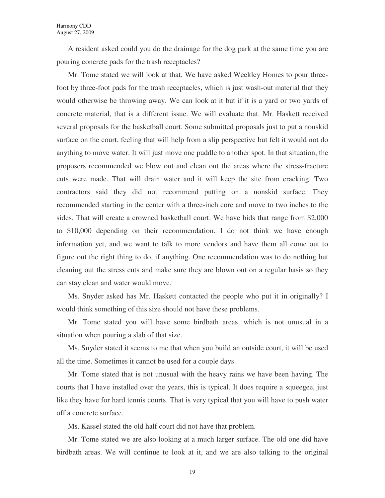A resident asked could you do the drainage for the dog park at the same time you are pouring concrete pads for the trash receptacles?

Mr. Tome stated we will look at that. We have asked Weekley Homes to pour threefoot by three-foot pads for the trash receptacles, which is just wash-out material that they would otherwise be throwing away. We can look at it but if it is a yard or two yards of concrete material, that is a different issue. We will evaluate that. Mr. Haskett received several proposals for the basketball court. Some submitted proposals just to put a nonskid surface on the court, feeling that will help from a slip perspective but felt it would not do anything to move water. It will just move one puddle to another spot. In that situation, the proposers recommended we blow out and clean out the areas where the stress-fracture cuts were made. That will drain water and it will keep the site from cracking. Two contractors said they did not recommend putting on a nonskid surface. They recommended starting in the center with a three-inch core and move to two inches to the sides. That will create a crowned basketball court. We have bids that range from \$2,000 to \$10,000 depending on their recommendation. I do not think we have enough information yet, and we want to talk to more vendors and have them all come out to figure out the right thing to do, if anything. One recommendation was to do nothing but cleaning out the stress cuts and make sure they are blown out on a regular basis so they can stay clean and water would move.

Ms. Snyder asked has Mr. Haskett contacted the people who put it in originally? I would think something of this size should not have these problems.

Mr. Tome stated you will have some birdbath areas, which is not unusual in a situation when pouring a slab of that size.

Ms. Snyder stated it seems to me that when you build an outside court, it will be used all the time. Sometimes it cannot be used for a couple days.

Mr. Tome stated that is not unusual with the heavy rains we have been having. The courts that I have installed over the years, this is typical. It does require a squeegee, just like they have for hard tennis courts. That is very typical that you will have to push water off a concrete surface.

Ms. Kassel stated the old half court did not have that problem.

Mr. Tome stated we are also looking at a much larger surface. The old one did have birdbath areas. We will continue to look at it, and we are also talking to the original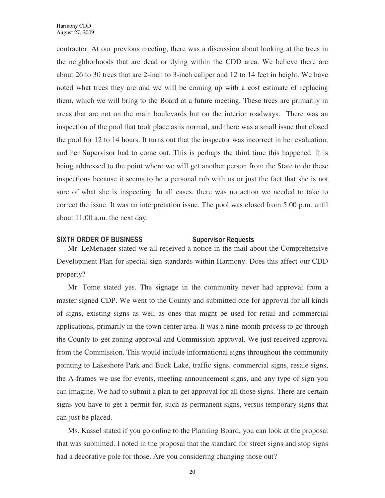contractor. At our previous meeting, there was a discussion about looking at the trees in the neighborhoods that are dead or dying within the CDD area. We believe there are about 26 to 30 trees that are 2-inch to 3-inch caliper and 12 to 14 feet in height. We have noted what trees they are and we will be coming up with a cost estimate of replacing them, which we will bring to the Board at a future meeting. These trees are primarily in areas that are not on the main boulevards but on the interior roadways. There was an inspection of the pool that took place as is normal, and there was a small issue that closed the pool for 12 to 14 hours. It turns out that the inspector was incorrect in her evaluation, and her Supervisor had to come out. This is perhaps the third time this happened. It is being addressed to the point where we will get another person from the State to do these inspections because it seems to be a personal rub with us or just the fact that she is not sure of what she is inspecting. In all cases, there was no action we needed to take to correct the issue. It was an interpretation issue. The pool was closed from 5:00 p.m. until about 11:00 a.m. the next day.

### SIXTH ORDER OF BUSINESS Supervisor Requests

Mr. LeMenager stated we all received a notice in the mail about the Comprehensive Development Plan for special sign standards within Harmony. Does this affect our CDD property?

Mr. Tome stated yes. The signage in the community never had approval from a master signed CDP. We went to the County and submitted one for approval for all kinds of signs, existing signs as well as ones that might be used for retail and commercial applications, primarily in the town center area. It was a nine-month process to go through the County to get zoning approval and Commission approval. We just received approval from the Commission. This would include informational signs throughout the community pointing to Lakeshore Park and Buck Lake, traffic signs, commercial signs, resale signs, the A-frames we use for events, meeting announcement signs, and any type of sign you can imagine. We had to submit a plan to get approval for all those signs. There are certain signs you have to get a permit for, such as permanent signs, versus temporary signs that can just be placed.

Ms. Kassel stated if you go online to the Planning Board, you can look at the proposal that was submitted. I noted in the proposal that the standard for street signs and stop signs had a decorative pole for those. Are you considering changing those out?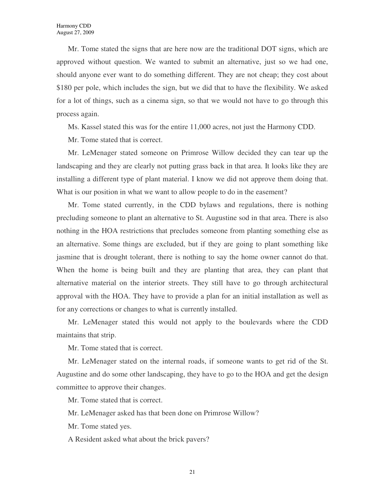Mr. Tome stated the signs that are here now are the traditional DOT signs, which are approved without question. We wanted to submit an alternative, just so we had one, should anyone ever want to do something different. They are not cheap; they cost about \$180 per pole, which includes the sign, but we did that to have the flexibility. We asked for a lot of things, such as a cinema sign, so that we would not have to go through this process again.

Ms. Kassel stated this was for the entire 11,000 acres, not just the Harmony CDD.

Mr. Tome stated that is correct.

Mr. LeMenager stated someone on Primrose Willow decided they can tear up the landscaping and they are clearly not putting grass back in that area. It looks like they are installing a different type of plant material. I know we did not approve them doing that. What is our position in what we want to allow people to do in the easement?

Mr. Tome stated currently, in the CDD bylaws and regulations, there is nothing precluding someone to plant an alternative to St. Augustine sod in that area. There is also nothing in the HOA restrictions that precludes someone from planting something else as an alternative. Some things are excluded, but if they are going to plant something like jasmine that is drought tolerant, there is nothing to say the home owner cannot do that. When the home is being built and they are planting that area, they can plant that alternative material on the interior streets. They still have to go through architectural approval with the HOA. They have to provide a plan for an initial installation as well as for any corrections or changes to what is currently installed.

Mr. LeMenager stated this would not apply to the boulevards where the CDD maintains that strip.

Mr. Tome stated that is correct.

Mr. LeMenager stated on the internal roads, if someone wants to get rid of the St. Augustine and do some other landscaping, they have to go to the HOA and get the design committee to approve their changes.

Mr. Tome stated that is correct.

Mr. LeMenager asked has that been done on Primrose Willow?

Mr. Tome stated yes.

A Resident asked what about the brick pavers?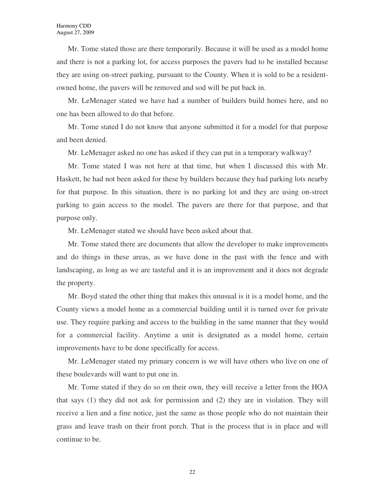Mr. Tome stated those are there temporarily. Because it will be used as a model home and there is not a parking lot, for access purposes the pavers had to be installed because they are using on-street parking, pursuant to the County. When it is sold to be a residentowned home, the pavers will be removed and sod will be put back in.

Mr. LeMenager stated we have had a number of builders build homes here, and no one has been allowed to do that before.

Mr. Tome stated I do not know that anyone submitted it for a model for that purpose and been denied.

Mr. LeMenager asked no one has asked if they can put in a temporary walkway?

Mr. Tome stated I was not here at that time, but when I discussed this with Mr. Haskett, he had not been asked for these by builders because they had parking lots nearby for that purpose. In this situation, there is no parking lot and they are using on-street parking to gain access to the model. The pavers are there for that purpose, and that purpose only.

Mr. LeMenager stated we should have been asked about that.

Mr. Tome stated there are documents that allow the developer to make improvements and do things in these areas, as we have done in the past with the fence and with landscaping, as long as we are tasteful and it is an improvement and it does not degrade the property.

Mr. Boyd stated the other thing that makes this unusual is it is a model home, and the County views a model home as a commercial building until it is turned over for private use. They require parking and access to the building in the same manner that they would for a commercial facility. Anytime a unit is designated as a model home, certain improvements have to be done specifically for access.

Mr. LeMenager stated my primary concern is we will have others who live on one of these boulevards will want to put one in.

Mr. Tome stated if they do so on their own, they will receive a letter from the HOA that says (1) they did not ask for permission and (2) they are in violation. They will receive a lien and a fine notice, just the same as those people who do not maintain their grass and leave trash on their front porch. That is the process that is in place and will continue to be.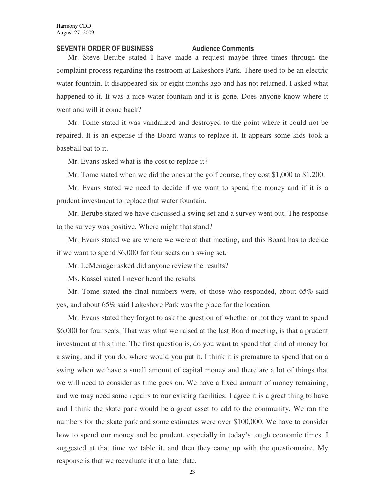#### SEVENTH ORDER OF BUSINESS Audience Comments

Mr. Steve Berube stated I have made a request maybe three times through the complaint process regarding the restroom at Lakeshore Park. There used to be an electric water fountain. It disappeared six or eight months ago and has not returned. I asked what happened to it. It was a nice water fountain and it is gone. Does anyone know where it went and will it come back?

Mr. Tome stated it was vandalized and destroyed to the point where it could not be repaired. It is an expense if the Board wants to replace it. It appears some kids took a baseball bat to it.

Mr. Evans asked what is the cost to replace it?

Mr. Tome stated when we did the ones at the golf course, they cost \$1,000 to \$1,200.

Mr. Evans stated we need to decide if we want to spend the money and if it is a prudent investment to replace that water fountain.

Mr. Berube stated we have discussed a swing set and a survey went out. The response to the survey was positive. Where might that stand?

Mr. Evans stated we are where we were at that meeting, and this Board has to decide if we want to spend \$6,000 for four seats on a swing set.

Mr. LeMenager asked did anyone review the results?

Ms. Kassel stated I never heard the results.

Mr. Tome stated the final numbers were, of those who responded, about 65% said yes, and about 65% said Lakeshore Park was the place for the location.

Mr. Evans stated they forgot to ask the question of whether or not they want to spend \$6,000 for four seats. That was what we raised at the last Board meeting, is that a prudent investment at this time. The first question is, do you want to spend that kind of money for a swing, and if you do, where would you put it. I think it is premature to spend that on a swing when we have a small amount of capital money and there are a lot of things that we will need to consider as time goes on. We have a fixed amount of money remaining, and we may need some repairs to our existing facilities. I agree it is a great thing to have and I think the skate park would be a great asset to add to the community. We ran the numbers for the skate park and some estimates were over \$100,000. We have to consider how to spend our money and be prudent, especially in today's tough economic times. I suggested at that time we table it, and then they came up with the questionnaire. My response is that we reevaluate it at a later date.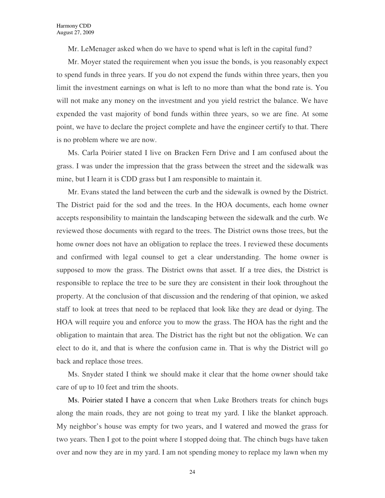Mr. LeMenager asked when do we have to spend what is left in the capital fund?

Mr. Moyer stated the requirement when you issue the bonds, is you reasonably expect to spend funds in three years. If you do not expend the funds within three years, then you limit the investment earnings on what is left to no more than what the bond rate is. You will not make any money on the investment and you yield restrict the balance. We have expended the vast majority of bond funds within three years, so we are fine. At some point, we have to declare the project complete and have the engineer certify to that. There is no problem where we are now.

Ms. Carla Poirier stated I live on Bracken Fern Drive and I am confused about the grass. I was under the impression that the grass between the street and the sidewalk was mine, but I learn it is CDD grass but I am responsible to maintain it.

Mr. Evans stated the land between the curb and the sidewalk is owned by the District. The District paid for the sod and the trees. In the HOA documents, each home owner accepts responsibility to maintain the landscaping between the sidewalk and the curb. We reviewed those documents with regard to the trees. The District owns those trees, but the home owner does not have an obligation to replace the trees. I reviewed these documents and confirmed with legal counsel to get a clear understanding. The home owner is supposed to mow the grass. The District owns that asset. If a tree dies, the District is responsible to replace the tree to be sure they are consistent in their look throughout the property. At the conclusion of that discussion and the rendering of that opinion, we asked staff to look at trees that need to be replaced that look like they are dead or dying. The HOA will require you and enforce you to mow the grass. The HOA has the right and the obligation to maintain that area. The District has the right but not the obligation. We can elect to do it, and that is where the confusion came in. That is why the District will go back and replace those trees.

Ms. Snyder stated I think we should make it clear that the home owner should take care of up to 10 feet and trim the shoots.

Ms. Poirier stated I have a concern that when Luke Brothers treats for chinch bugs along the main roads, they are not going to treat my yard. I like the blanket approach. My neighbor's house was empty for two years, and I watered and mowed the grass for two years. Then I got to the point where I stopped doing that. The chinch bugs have taken over and now they are in my yard. I am not spending money to replace my lawn when my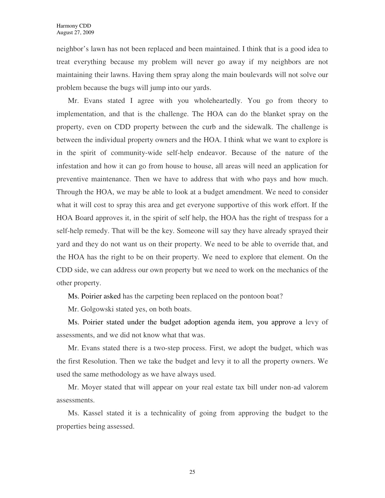neighbor's lawn has not been replaced and been maintained. I think that is a good idea to treat everything because my problem will never go away if my neighbors are not maintaining their lawns. Having them spray along the main boulevards will not solve our problem because the bugs will jump into our yards.

Mr. Evans stated I agree with you wholeheartedly. You go from theory to implementation, and that is the challenge. The HOA can do the blanket spray on the property, even on CDD property between the curb and the sidewalk. The challenge is between the individual property owners and the HOA. I think what we want to explore is in the spirit of community-wide self-help endeavor. Because of the nature of the infestation and how it can go from house to house, all areas will need an application for preventive maintenance. Then we have to address that with who pays and how much. Through the HOA, we may be able to look at a budget amendment. We need to consider what it will cost to spray this area and get everyone supportive of this work effort. If the HOA Board approves it, in the spirit of self help, the HOA has the right of trespass for a self-help remedy. That will be the key. Someone will say they have already sprayed their yard and they do not want us on their property. We need to be able to override that, and the HOA has the right to be on their property. We need to explore that element. On the CDD side, we can address our own property but we need to work on the mechanics of the other property.

Ms. Poirier asked has the carpeting been replaced on the pontoon boat?

Mr. Golgowski stated yes, on both boats.

Ms. Poirier stated under the budget adoption agenda item, you approve a levy of assessments, and we did not know what that was.

Mr. Evans stated there is a two-step process. First, we adopt the budget, which was the first Resolution. Then we take the budget and levy it to all the property owners. We used the same methodology as we have always used.

Mr. Moyer stated that will appear on your real estate tax bill under non-ad valorem assessments.

Ms. Kassel stated it is a technicality of going from approving the budget to the properties being assessed.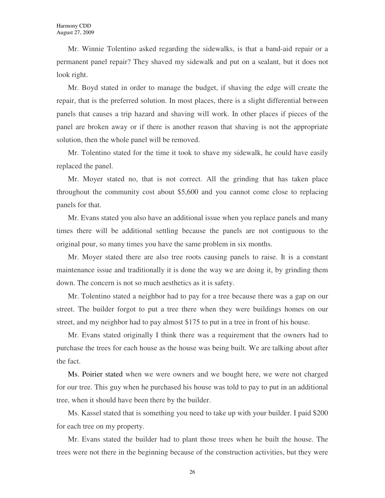Mr. Winnie Tolentino asked regarding the sidewalks, is that a band-aid repair or a permanent panel repair? They shaved my sidewalk and put on a sealant, but it does not look right.

Mr. Boyd stated in order to manage the budget, if shaving the edge will create the repair, that is the preferred solution. In most places, there is a slight differential between panels that causes a trip hazard and shaving will work. In other places if pieces of the panel are broken away or if there is another reason that shaving is not the appropriate solution, then the whole panel will be removed.

Mr. Tolentino stated for the time it took to shave my sidewalk, he could have easily replaced the panel.

Mr. Moyer stated no, that is not correct. All the grinding that has taken place throughout the community cost about \$5,600 and you cannot come close to replacing panels for that.

Mr. Evans stated you also have an additional issue when you replace panels and many times there will be additional settling because the panels are not contiguous to the original pour, so many times you have the same problem in six months.

Mr. Moyer stated there are also tree roots causing panels to raise. It is a constant maintenance issue and traditionally it is done the way we are doing it, by grinding them down. The concern is not so much aesthetics as it is safety.

Mr. Tolentino stated a neighbor had to pay for a tree because there was a gap on our street. The builder forgot to put a tree there when they were buildings homes on our street, and my neighbor had to pay almost \$175 to put in a tree in front of his house.

Mr. Evans stated originally I think there was a requirement that the owners had to purchase the trees for each house as the house was being built. We are talking about after the fact.

Ms. Poirier stated when we were owners and we bought here, we were not charged for our tree. This guy when he purchased his house was told to pay to put in an additional tree, when it should have been there by the builder.

Ms. Kassel stated that is something you need to take up with your builder. I paid \$200 for each tree on my property.

Mr. Evans stated the builder had to plant those trees when he built the house. The trees were not there in the beginning because of the construction activities, but they were

26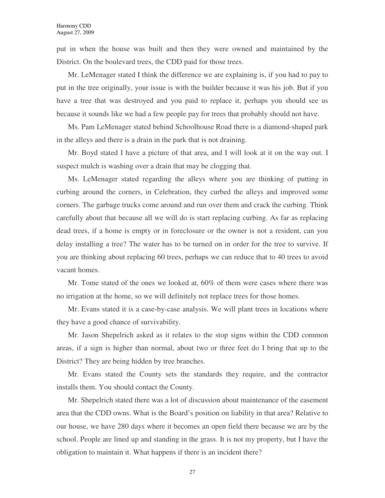put in when the house was built and then they were owned and maintained by the District. On the boulevard trees, the CDD paid for those trees.

Mr. LeMenager stated I think the difference we are explaining is, if you had to pay to put in the tree originally, your issue is with the builder because it was his job. But if you have a tree that was destroyed and you paid to replace it, perhaps you should see us because it sounds like we had a few people pay for trees that probably should not have.

Ms. Pam LeMenager stated behind Schoolhouse Road there is a diamond-shaped park in the alleys and there is a drain in the park that is not draining.

Mr. Boyd stated I have a picture of that area, and I will look at it on the way out. I suspect mulch is washing over a drain that may be clogging that.

Ms. LeMenager stated regarding the alleys where you are thinking of putting in curbing around the corners, in Celebration, they curbed the alleys and improved some corners. The garbage trucks come around and run over them and crack the curbing. Think carefully about that because all we will do is start replacing curbing. As far as replacing dead trees, if a home is empty or in foreclosure or the owner is not a resident, can you delay installing a tree? The water has to be turned on in order for the tree to survive. If you are thinking about replacing 60 trees, perhaps we can reduce that to 40 trees to avoid vacant homes.

Mr. Tome stated of the ones we looked at, 60% of them were cases where there was no irrigation at the home, so we will definitely not replace trees for those homes.

Mr. Evans stated it is a case-by-case analysis. We will plant trees in locations where they have a good chance of survivability.

Mr. Jason Shepelrich asked as it relates to the stop signs within the CDD common areas, if a sign is higher than normal, about two or three feet do I bring that up to the District? They are being hidden by tree branches.

Mr. Evans stated the County sets the standards they require, and the contractor installs them. You should contact the County.

Mr. Shepelrich stated there was a lot of discussion about maintenance of the easement area that the CDD owns. What is the Board's position on liability in that area? Relative to our house, we have 280 days where it becomes an open field there because we are by the school. People are lined up and standing in the grass. It is not my property, but I have the obligation to maintain it. What happens if there is an incident there?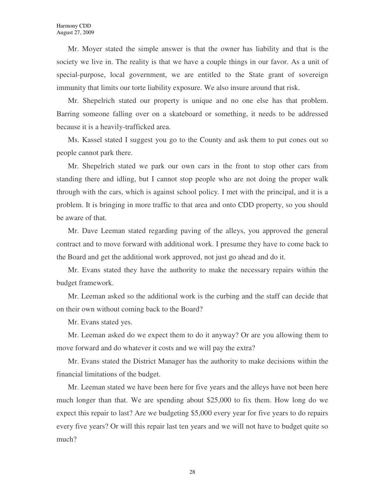Mr. Moyer stated the simple answer is that the owner has liability and that is the society we live in. The reality is that we have a couple things in our favor. As a unit of special-purpose, local government, we are entitled to the State grant of sovereign immunity that limits our torte liability exposure. We also insure around that risk.

Mr. Shepelrich stated our property is unique and no one else has that problem. Barring someone falling over on a skateboard or something, it needs to be addressed because it is a heavily-trafficked area.

Ms. Kassel stated I suggest you go to the County and ask them to put cones out so people cannot park there.

Mr. Shepelrich stated we park our own cars in the front to stop other cars from standing there and idling, but I cannot stop people who are not doing the proper walk through with the cars, which is against school policy. I met with the principal, and it is a problem. It is bringing in more traffic to that area and onto CDD property, so you should be aware of that.

Mr. Dave Leeman stated regarding paving of the alleys, you approved the general contract and to move forward with additional work. I presume they have to come back to the Board and get the additional work approved, not just go ahead and do it.

Mr. Evans stated they have the authority to make the necessary repairs within the budget framework.

Mr. Leeman asked so the additional work is the curbing and the staff can decide that on their own without coming back to the Board?

Mr. Evans stated yes.

Mr. Leeman asked do we expect them to do it anyway? Or are you allowing them to move forward and do whatever it costs and we will pay the extra?

Mr. Evans stated the District Manager has the authority to make decisions within the financial limitations of the budget.

Mr. Leeman stated we have been here for five years and the alleys have not been here much longer than that. We are spending about \$25,000 to fix them. How long do we expect this repair to last? Are we budgeting \$5,000 every year for five years to do repairs every five years? Or will this repair last ten years and we will not have to budget quite so much?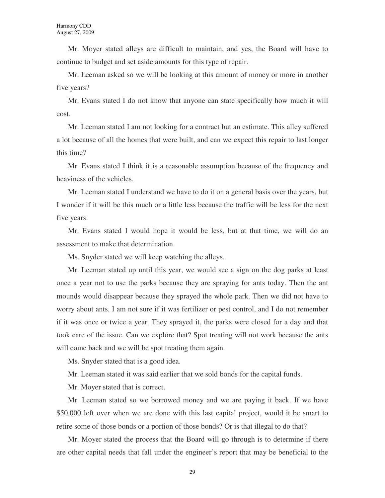Mr. Moyer stated alleys are difficult to maintain, and yes, the Board will have to continue to budget and set aside amounts for this type of repair.

Mr. Leeman asked so we will be looking at this amount of money or more in another five years?

Mr. Evans stated I do not know that anyone can state specifically how much it will cost.

Mr. Leeman stated I am not looking for a contract but an estimate. This alley suffered a lot because of all the homes that were built, and can we expect this repair to last longer this time?

Mr. Evans stated I think it is a reasonable assumption because of the frequency and heaviness of the vehicles.

Mr. Leeman stated I understand we have to do it on a general basis over the years, but I wonder if it will be this much or a little less because the traffic will be less for the next five years.

Mr. Evans stated I would hope it would be less, but at that time, we will do an assessment to make that determination.

Ms. Snyder stated we will keep watching the alleys.

Mr. Leeman stated up until this year, we would see a sign on the dog parks at least once a year not to use the parks because they are spraying for ants today. Then the ant mounds would disappear because they sprayed the whole park. Then we did not have to worry about ants. I am not sure if it was fertilizer or pest control, and I do not remember if it was once or twice a year. They sprayed it, the parks were closed for a day and that took care of the issue. Can we explore that? Spot treating will not work because the ants will come back and we will be spot treating them again.

Ms. Snyder stated that is a good idea.

Mr. Leeman stated it was said earlier that we sold bonds for the capital funds.

Mr. Moyer stated that is correct.

Mr. Leeman stated so we borrowed money and we are paying it back. If we have \$50,000 left over when we are done with this last capital project, would it be smart to retire some of those bonds or a portion of those bonds? Or is that illegal to do that?

Mr. Moyer stated the process that the Board will go through is to determine if there are other capital needs that fall under the engineer's report that may be beneficial to the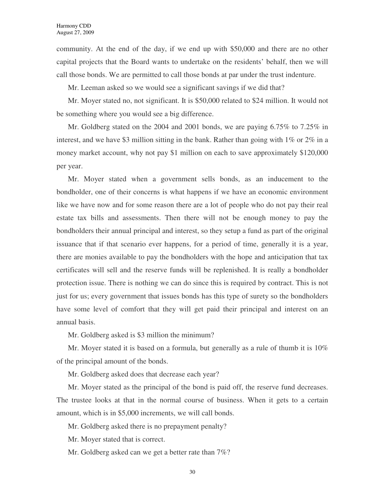community. At the end of the day, if we end up with \$50,000 and there are no other capital projects that the Board wants to undertake on the residents' behalf, then we will call those bonds. We are permitted to call those bonds at par under the trust indenture.

Mr. Leeman asked so we would see a significant savings if we did that?

Mr. Moyer stated no, not significant. It is \$50,000 related to \$24 million. It would not be something where you would see a big difference.

Mr. Goldberg stated on the 2004 and 2001 bonds, we are paying  $6.75\%$  to  $7.25\%$  in interest, and we have \$3 million sitting in the bank. Rather than going with 1% or 2% in a money market account, why not pay \$1 million on each to save approximately \$120,000 per year.

Mr. Moyer stated when a government sells bonds, as an inducement to the bondholder, one of their concerns is what happens if we have an economic environment like we have now and for some reason there are a lot of people who do not pay their real estate tax bills and assessments. Then there will not be enough money to pay the bondholders their annual principal and interest, so they setup a fund as part of the original issuance that if that scenario ever happens, for a period of time, generally it is a year, there are monies available to pay the bondholders with the hope and anticipation that tax certificates will sell and the reserve funds will be replenished. It is really a bondholder protection issue. There is nothing we can do since this is required by contract. This is not just for us; every government that issues bonds has this type of surety so the bondholders have some level of comfort that they will get paid their principal and interest on an annual basis.

Mr. Goldberg asked is \$3 million the minimum?

Mr. Moyer stated it is based on a formula, but generally as a rule of thumb it is  $10\%$ of the principal amount of the bonds.

Mr. Goldberg asked does that decrease each year?

Mr. Moyer stated as the principal of the bond is paid off, the reserve fund decreases. The trustee looks at that in the normal course of business. When it gets to a certain amount, which is in \$5,000 increments, we will call bonds.

Mr. Goldberg asked there is no prepayment penalty?

Mr. Moyer stated that is correct.

Mr. Goldberg asked can we get a better rate than 7%?